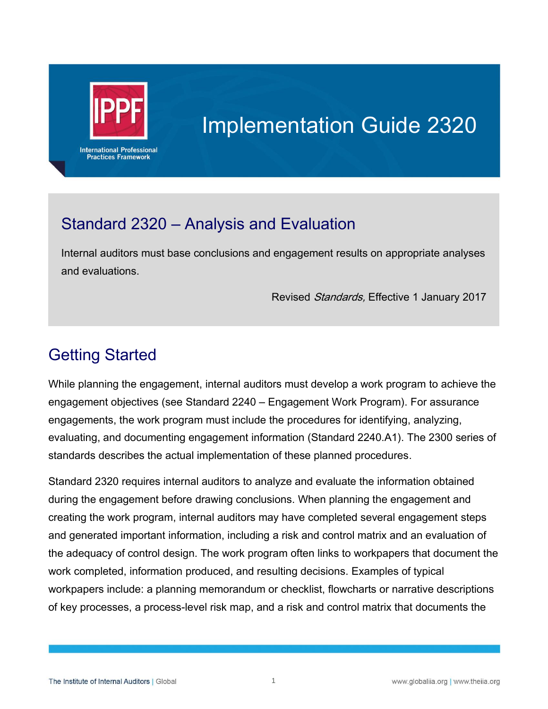

# Implementation Guide 2320

## Standard 2320 – Analysis and Evaluation

Internal auditors must base conclusions and engagement results on appropriate analyses and evaluations.

Revised Standards, Effective 1 January 2017

# Getting Started

While planning the engagement, internal auditors must develop a work program to achieve the engagement objectives (see Standard 2240 – Engagement Work Program). For assurance engagements, the work program must include the procedures for identifying, analyzing, evaluating, and documenting engagement information (Standard 2240.A1). The 2300 series of standards describes the actual implementation of these planned procedures.

Standard 2320 requires internal auditors to analyze and evaluate the information obtained during the engagement before drawing conclusions. When planning the engagement and creating the work program, internal auditors may have completed several engagement steps and generated important information, including a risk and control matrix and an evaluation of the adequacy of control design. The work program often links to workpapers that document the work completed, information produced, and resulting decisions. Examples of typical workpapers include: a planning memorandum or checklist, flowcharts or narrative descriptions of key processes, a process-level risk map, and a risk and control matrix that documents the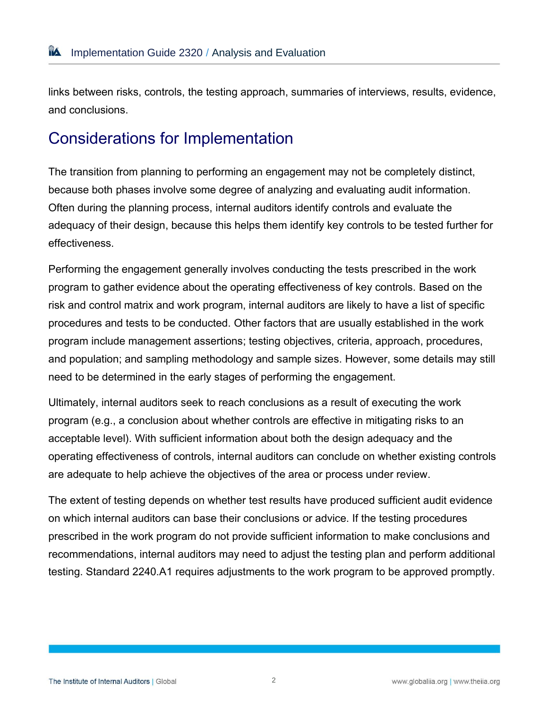links between risks, controls, the testing approach, summaries of interviews, results, evidence, and conclusions.

## Considerations for Implementation

The transition from planning to performing an engagement may not be completely distinct, because both phases involve some degree of analyzing and evaluating audit information. Often during the planning process, internal auditors identify controls and evaluate the adequacy of their design, because this helps them identify key controls to be tested further for effectiveness.

Performing the engagement generally involves conducting the tests prescribed in the work program to gather evidence about the operating effectiveness of key controls. Based on the risk and control matrix and work program, internal auditors are likely to have a list of specific procedures and tests to be conducted. Other factors that are usually established in the work program include management assertions; testing objectives, criteria, approach, procedures, and population; and sampling methodology and sample sizes. However, some details may still need to be determined in the early stages of performing the engagement.

Ultimately, internal auditors seek to reach conclusions as a result of executing the work program (e.g., a conclusion about whether controls are effective in mitigating risks to an acceptable level). With sufficient information about both the design adequacy and the operating effectiveness of controls, internal auditors can conclude on whether existing controls are adequate to help achieve the objectives of the area or process under review.

The extent of testing depends on whether test results have produced sufficient audit evidence on which internal auditors can base their conclusions or advice. If the testing procedures prescribed in the work program do not provide sufficient information to make conclusions and recommendations, internal auditors may need to adjust the testing plan and perform additional testing. Standard 2240.A1 requires adjustments to the work program to be approved promptly.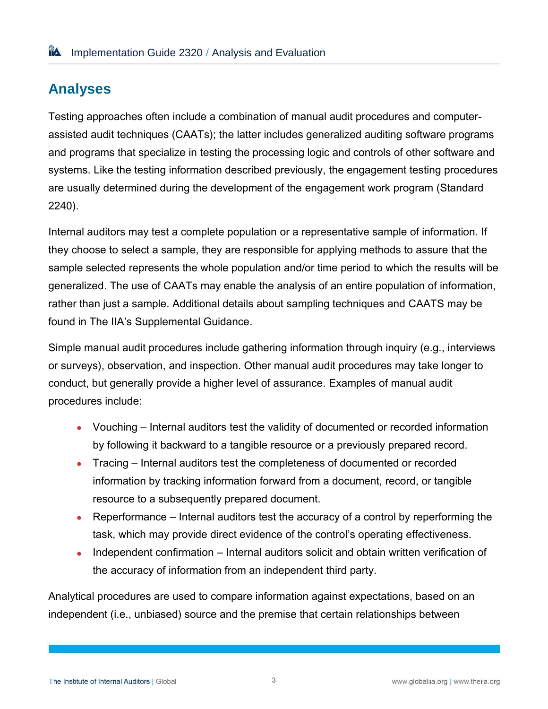## **Analyses**

Testing approaches often include a combination of manual audit procedures and computerassisted audit techniques (CAATs); the latter includes generalized auditing software programs and programs that specialize in testing the processing logic and controls of other software and systems. Like the testing information described previously, the engagement testing procedures are usually determined during the development of the engagement work program (Standard 2240).

Internal auditors may test a complete population or a representative sample of information. If they choose to select a sample, they are responsible for applying methods to assure that the sample selected represents the whole population and/or time period to which the results will be generalized. The use of CAATs may enable the analysis of an entire population of information, rather than just a sample. Additional details about sampling techniques and CAATS may be found in The IIA's Supplemental Guidance.

Simple manual audit procedures include gathering information through inquiry (e.g., interviews or surveys), observation, and inspection. Other manual audit procedures may take longer to conduct, but generally provide a higher level of assurance. Examples of manual audit procedures include:

- Vouching Internal auditors test the validity of documented or recorded information by following it backward to a tangible resource or a previously prepared record.
- Tracing Internal auditors test the completeness of documented or recorded information by tracking information forward from a document, record, or tangible resource to a subsequently prepared document.
- Reperformance Internal auditors test the accuracy of a control by reperforming the task, which may provide direct evidence of the control's operating effectiveness.
- Independent confirmation Internal auditors solicit and obtain written verification of the accuracy of information from an independent third party.

Analytical procedures are used to compare information against expectations, based on an independent (i.e., unbiased) source and the premise that certain relationships between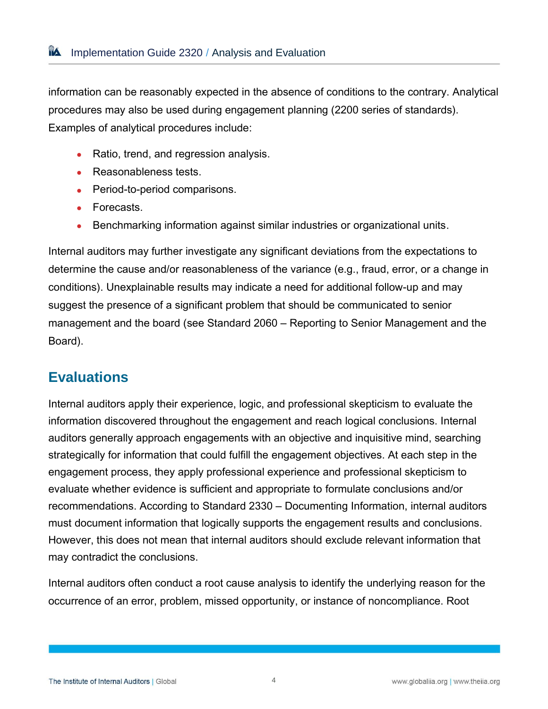information can be reasonably expected in the absence of conditions to the contrary. Analytical procedures may also be used during engagement planning (2200 series of standards). Examples of analytical procedures include:

- Ratio, trend, and regression analysis.
- Reasonableness tests.
- Period-to-period comparisons.
- Forecasts.
- Benchmarking information against similar industries or organizational units.

Internal auditors may further investigate any significant deviations from the expectations to determine the cause and/or reasonableness of the variance (e.g., fraud, error, or a change in conditions). Unexplainable results may indicate a need for additional follow-up and may suggest the presence of a significant problem that should be communicated to senior management and the board (see Standard 2060 – Reporting to Senior Management and the Board).

#### **Evaluations**

Internal auditors apply their experience, logic, and professional skepticism to evaluate the information discovered throughout the engagement and reach logical conclusions. Internal auditors generally approach engagements with an objective and inquisitive mind, searching strategically for information that could fulfill the engagement objectives. At each step in the engagement process, they apply professional experience and professional skepticism to evaluate whether evidence is sufficient and appropriate to formulate conclusions and/or recommendations. According to Standard 2330 – Documenting Information, internal auditors must document information that logically supports the engagement results and conclusions. However, this does not mean that internal auditors should exclude relevant information that may contradict the conclusions.

Internal auditors often conduct a root cause analysis to identify the underlying reason for the occurrence of an error, problem, missed opportunity, or instance of noncompliance. Root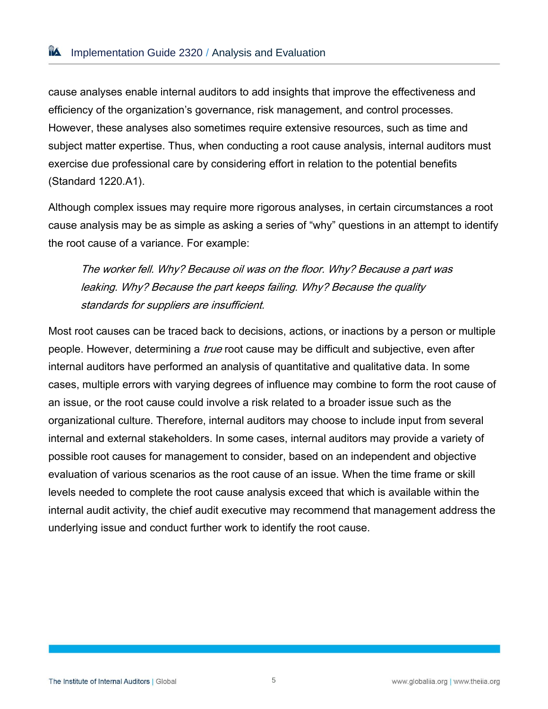cause analyses enable internal auditors to add insights that improve the effectiveness and efficiency of the organization's governance, risk management, and control processes. However, these analyses also sometimes require extensive resources, such as time and subject matter expertise. Thus, when conducting a root cause analysis, internal auditors must exercise due professional care by considering effort in relation to the potential benefits (Standard 1220.A1).

Although complex issues may require more rigorous analyses, in certain circumstances a root cause analysis may be as simple as asking a series of "why" questions in an attempt to identify the root cause of a variance. For example:

The worker fell. Why? Because oil was on the floor. Why? Because a part was leaking. Why? Because the part keeps failing. Why? Because the quality standards for suppliers are insufficient.

Most root causes can be traced back to decisions, actions, or inactions by a person or multiple people. However, determining a *true* root cause may be difficult and subjective, even after internal auditors have performed an analysis of quantitative and qualitative data. In some cases, multiple errors with varying degrees of influence may combine to form the root cause of an issue, or the root cause could involve a risk related to a broader issue such as the organizational culture. Therefore, internal auditors may choose to include input from several internal and external stakeholders. In some cases, internal auditors may provide a variety of possible root causes for management to consider, based on an independent and objective evaluation of various scenarios as the root cause of an issue. When the time frame or skill levels needed to complete the root cause analysis exceed that which is available within the internal audit activity, the chief audit executive may recommend that management address the underlying issue and conduct further work to identify the root cause.